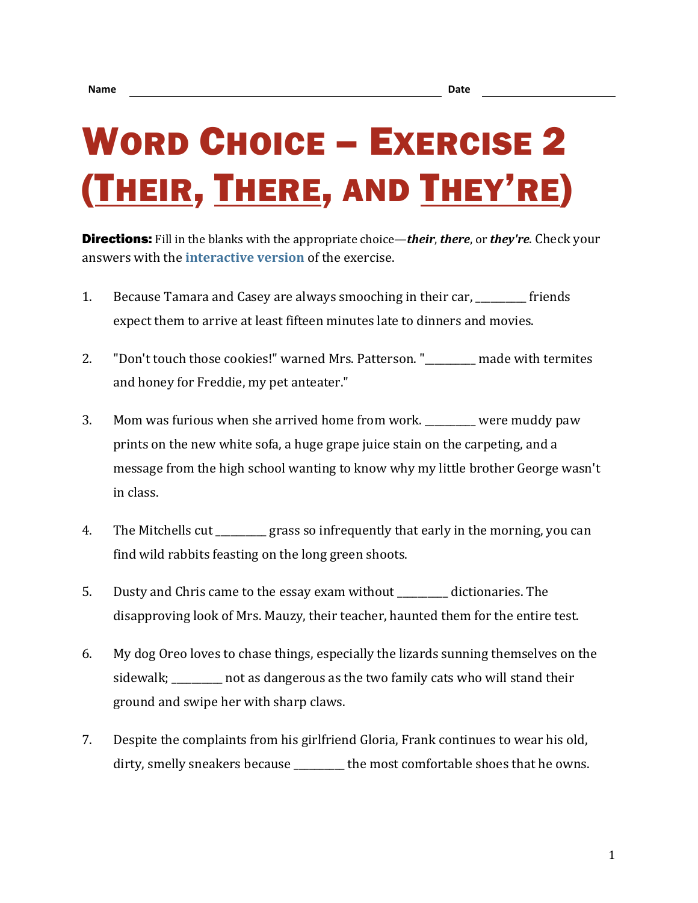## WORD CHOICE – EXERCISE 2 (THEIR, THERE, AND THEY'RE)

Directions: Fill in the blanks with the appropriate choice—*their*, *there*, or *they're*. Check your answers with the **[interactive version](https://chompchomp.com/hotpotatoes/wordchoice02.htm)** of the exercise.

- 1. Because Tamara and Casey are always smooching in their car, friends expect them to arrive at least fifteen minutes late to dinners and movies.
- 2. "Don't touch those cookies!" warned Mrs. Patterson. "\_\_\_\_\_\_\_\_\_\_ made with termites and honey for Freddie, my pet anteater."
- 3. Mom was furious when she arrived home from work. \_\_\_\_\_\_\_\_\_\_ were muddy paw prints on the new white sofa, a huge grape juice stain on the carpeting, and a message from the high school wanting to know why my little brother George wasn't in class.
- 4. The Mitchells cut <u>endle</u> grass so infrequently that early in the morning, you can find wild rabbits feasting on the long green shoots.
- 5. Dusty and Chris came to the essay exam without \_\_\_\_\_\_\_\_\_\_ dictionaries. The disapproving look of Mrs. Mauzy, their teacher, haunted them for the entire test.
- 6. My dog Oreo loves to chase things, especially the lizards sunning themselves on the sidewalk; hot as dangerous as the two family cats who will stand their ground and swipe her with sharp claws.
- 7. Despite the complaints from his girlfriend Gloria, Frank continues to wear his old, dirty, smelly sneakers because \_\_\_\_\_\_\_\_\_ the most comfortable shoes that he owns.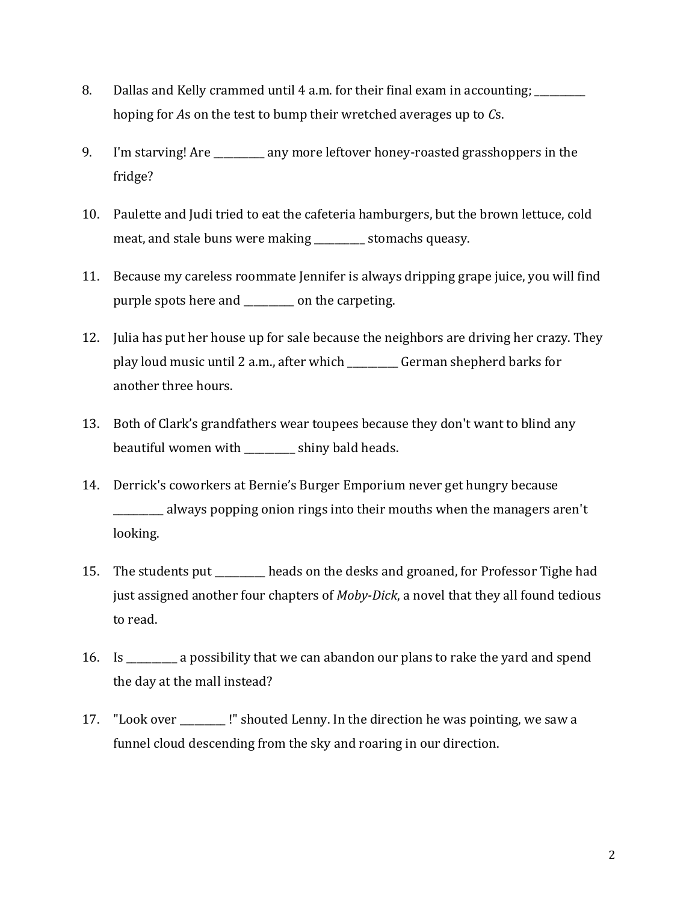- 8. Dallas and Kelly crammed until 4 a.m. for their final exam in accounting; hoping for *A*s on the test to bump their wretched averages up to *C*s.
- 9. I'm starving! Are \_\_\_\_\_\_\_\_\_\_ any more leftover honey-roasted grasshoppers in the fridge?
- 10. Paulette and Judi tried to eat the cafeteria hamburgers, but the brown lettuce, cold meat, and stale buns were making stomachs queasy.
- 11. Because my careless roommate Jennifer is always dripping grape juice, you will find purple spots here and \_\_\_\_\_\_\_\_\_\_ on the carpeting.
- 12. Julia has put her house up for sale because the neighbors are driving her crazy. They play loud music until 2 a.m., after which \_\_\_\_\_\_\_\_\_\_ German shepherd barks for another three hours.
- 13. Both of Clark's grandfathers wear toupees because they don't want to blind any beautiful women with \_\_\_\_\_\_\_\_\_\_ shiny bald heads.
- 14. Derrick's coworkers at Bernie's Burger Emporium never get hungry because \_\_\_\_\_\_\_\_\_\_ always popping onion rings into their mouths when the managers aren't looking.
- 15. The students put \_\_\_\_\_\_\_\_\_\_ heads on the desks and groaned, for Professor Tighe had just assigned another four chapters of *Moby-Dick*, a novel that they all found tedious to read.
- 16. Is \_\_\_\_\_\_\_\_\_\_ a possibility that we can abandon our plans to rake the yard and spend the day at the mall instead?
- 17. "Look over !" shouted Lenny. In the direction he was pointing, we saw a funnel cloud descending from the sky and roaring in our direction.